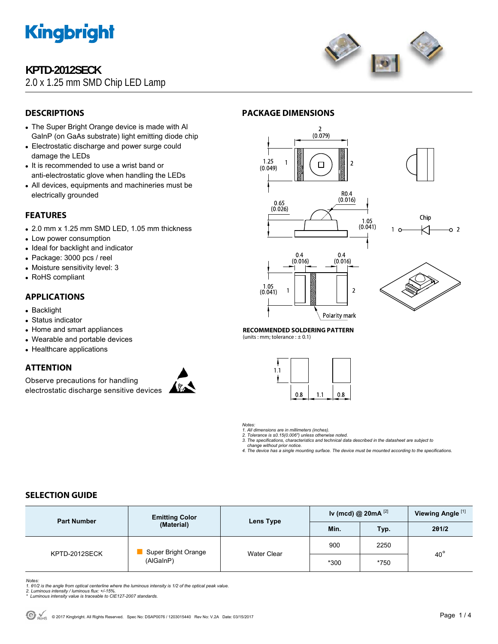

# **KPTD-2012SECK**

# 2.0 x 1.25 mm SMD Chip LED Lamp



# **DESCRIPTIONS**

- The Super Bright Orange device is made with Al GaInP (on GaAs substrate) light emitting diode chip
- Electrostatic discharge and power surge could damage the LEDs
- It is recommended to use a wrist band or anti-electrostatic glove when handling the LEDs
- All devices, equipments and machineries must be electrically grounded

## **FEATURES**

- 2.0 mm x 1.25 mm SMD LED, 1.05 mm thickness
- Low power consumption
- Ideal for backlight and indicator
- Package: 3000 pcs / reel
- Moisture sensitivity level: 3
- RoHS compliant

## **APPLICATIONS**

- Backlight
- Status indicator
- Home and smart appliances
- Wearable and portable devices
- Healthcare applications

## **ATTENTION**

Observe precautions for handling electrostatic discharge sensitive devices



## **PACKAGE DIMENSIONS**



Polarity mark

**RECOMMENDED SOLDERING PATTERN** 

(units : mm; tolerance :  $\pm$  0.1)



*Notes:* 

*1. All dimensions are in millimeters (inches). 2. Tolerance is ±0.15(0.006") unless otherwise noted.* 

*3. The specifications, characteristics and technical data described in the datasheet are subject to change without prior notice.* 

*4. The device has a single mounting surface. The device must be mounted according to the specifications.* 

## **SELECTION GUIDE**

| <b>Part Number</b> | <b>Emitting Color</b><br>(Material) | Lens Type   | Iv (mcd) @ $20mA$ <sup>[2]</sup> |      | Viewing Angle <sup>[1]</sup> |  |
|--------------------|-------------------------------------|-------------|----------------------------------|------|------------------------------|--|
|                    |                                     |             | Min.                             | Typ. | 201/2                        |  |
| KPTD-2012SECK      | Super Bright Orange<br>(AlGaInP)    | Water Clear | 900                              | 2250 |                              |  |
|                    |                                     |             | $*300$                           | *750 | $40^{\circ}$                 |  |

*Notes:* 

1. 01/2 is the angle from optical centerline where the luminous intensity is 1/2 of the optical peak value.<br>2. Luminous intensity / luminous flux: +/-15%.<br>\* Luminous intensity value is traceable to CIE127-2007 standards.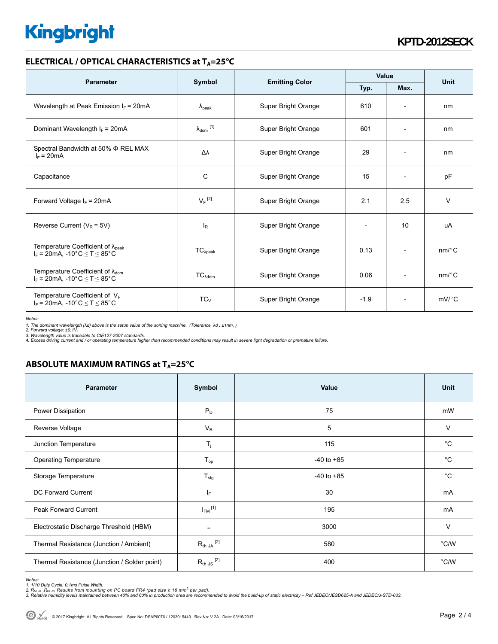# **Kingbright**

### **ELECTRICAL / OPTICAL CHARACTERISTICS at T<sub>A</sub>=25°C**

| <b>Parameter</b>                                                                             | Symbol                     |                       | Value  |                              | <b>Unit</b>           |
|----------------------------------------------------------------------------------------------|----------------------------|-----------------------|--------|------------------------------|-----------------------|
|                                                                                              |                            | <b>Emitting Color</b> | Typ.   | Max.                         |                       |
| Wavelength at Peak Emission $I_F$ = 20mA                                                     | $\lambda_{\rm peak}$       | Super Bright Orange   | 610    | $\overline{\phantom{a}}$     | nm                    |
| Dominant Wavelength $I_F = 20 \text{mA}$                                                     | $\lambda_{\text{dom}}$ [1] | Super Bright Orange   | 601    | $\qquad \qquad \blacksquare$ | nm                    |
| Spectral Bandwidth at 50% $\Phi$ REL MAX<br>$I_F = 20mA$                                     | Δλ                         | Super Bright Orange   | 29     | $\overline{\phantom{a}}$     | nm                    |
| Capacitance                                                                                  | C                          | Super Bright Orange   | 15     | $\overline{a}$               | pF                    |
| Forward Voltage $I_F = 20mA$                                                                 | $V_F$ <sup>[2]</sup>       | Super Bright Orange   | 2.1    | 2.5                          | $\vee$                |
| Reverse Current ( $V_R$ = 5V)                                                                | <sub>R</sub>               | Super Bright Orange   |        | 10                           | uA                    |
| Temperature Coefficient of $\lambda_{peak}$<br>$I_F = 20mA$ , -10°C $\le T \le 85$ °C        | $TC_{\lambda peak}$        | Super Bright Orange   | 0.13   | $\overline{\phantom{a}}$     | $nm$ /°C              |
| Temperature Coefficient of $\lambda_{\text{dom}}$<br>$I_F$ = 20mA, -10°C $\leq T \leq 85$ °C | TC <sub>Adam</sub>         | Super Bright Orange   | 0.06   | $\overline{a}$               | $nm$ /°C              |
| Temperature Coefficient of $V_F$<br>$I_F = 20mA$ , -10°C $\le T \le 85$ °C                   | $TC_V$                     | Super Bright Orange   | $-1.9$ | $\overline{\phantom{a}}$     | $mV$ <sup>o</sup> $C$ |

*Notes:* 

1. The dominant wavelength (λd) above is the setup value of the sorting machine. (Tolerance λd : ±1nm. )<br>2. Forward voltage: ±0.1V.<br>3. Wavelength value is traceable to CIE127-2007 standards.<br>4. Excess driving current and

## **ABSOLUTE MAXIMUM RATINGS at T<sub>A</sub>=25°C**

| <b>Parameter</b>                             | Symbol                   | Value          | Unit          |
|----------------------------------------------|--------------------------|----------------|---------------|
| Power Dissipation                            | $P_D$                    | 75             | mW            |
| Reverse Voltage                              | $V_R$                    | 5              | $\vee$        |
| Junction Temperature                         | $T_{j}$                  | 115            | $^{\circ}C$   |
| <b>Operating Temperature</b>                 | $T_{op}$                 | $-40$ to $+85$ | $^{\circ}C$   |
| Storage Temperature                          | $T_{\text{stg}}$         | $-40$ to $+85$ | $^{\circ}C$   |
| DC Forward Current                           | IF.                      | 30             | mA            |
| Peak Forward Current                         | $I_{FM}$ <sup>[1]</sup>  | 195            | mA            |
| Electrostatic Discharge Threshold (HBM)      | $\overline{\phantom{a}}$ | 3000           | $\vee$        |
| Thermal Resistance (Junction / Ambient)      | $R_{th}$ JA $^{[2]}$     | 580            | °C/W          |
| Thermal Resistance (Junction / Solder point) | $R_{th}$ JS $^{[2]}$     | 400            | $\degree$ C/W |

*Notes:* 

<sup>1. 1/10</sup> Duty Cycle, 0.1ms Pulse Width.<br>2. R<sub>th Ju</sub> ,R<sub>h JS</sub> Results from mounting on PC board FR4 (pad size ≥ 16 mm² per pad).<br>3. Relative humidity levels maintained between 40% and 60% in production area are recommended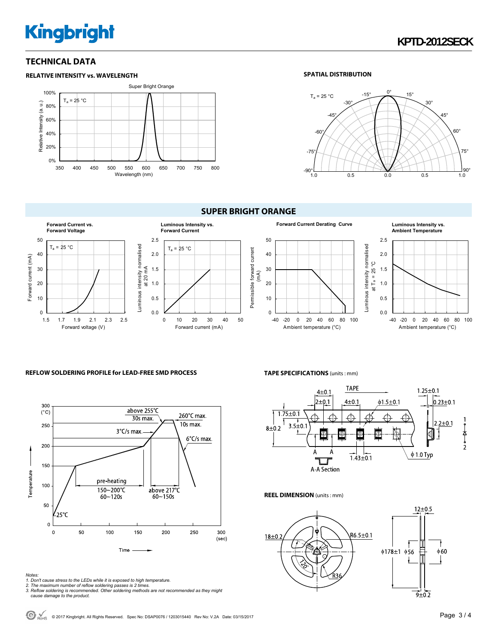# **Kingbright**

## **TECHNICAL DATA**





### **SPATIAL DISTRIBUTION**



# **SUPER BRIGHT ORANGE**



#### **REFLOW SOLDERING PROFILE for LEAD-FREE SMD PROCESS**



### **TAPE SPECIFICATIONS** (units : mm)



#### **REEL DIMENSION** (units : mm)



*Notes:* 

- 
- 
- 1. Don't cause stress to the LEDs while it is exposed to high temperature.<br>2. The maximum number of reflow soldering passes is 2 times.<br>3. Reflow soldering is recommended. Other soldering methods are not recommended as the